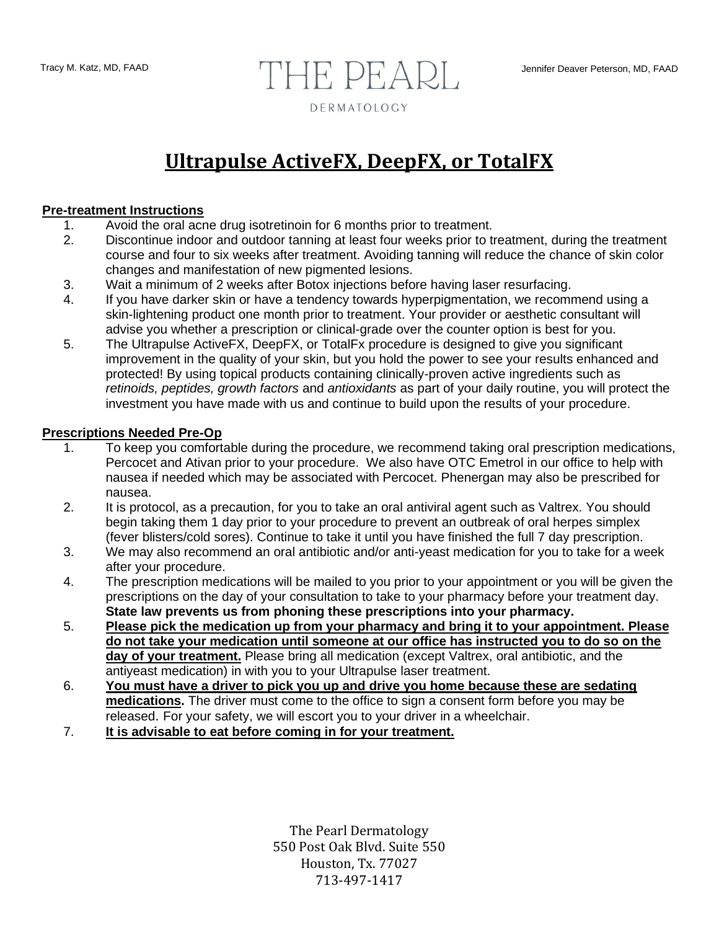# Tracy M. Katz, MD, FAAD **Jennifer Deaver Peterson, MD, FAAD** DERMATOLOGY

## **Ultrapulse ActiveFX, DeepFX, or TotalFX**

#### **Pre-treatment Instructions**

- 1. Avoid the oral acne drug isotretinoin for 6 months prior to treatment.
- 2. Discontinue indoor and outdoor tanning at least four weeks prior to treatment, during the treatment course and four to six weeks after treatment. Avoiding tanning will reduce the chance of skin color changes and manifestation of new pigmented lesions.
- 3. Wait a minimum of 2 weeks after Botox injections before having laser resurfacing.
- 4. If you have darker skin or have a tendency towards hyperpigmentation, we recommend using a skin-lightening product one month prior to treatment. Your provider or aesthetic consultant will advise you whether a prescription or clinical-grade over the counter option is best for you.
- 5. The Ultrapulse ActiveFX, DeepFX, or TotalFx procedure is designed to give you significant improvement in the quality of your skin, but you hold the power to see your results enhanced and protected! By using topical products containing clinically-proven active ingredients such as *retinoids, peptides, growth factors* and *antioxidants* as part of your daily routine, you will protect the investment you have made with us and continue to build upon the results of your procedure.

#### **Prescriptions Needed Pre-Op**

- 1. To keep you comfortable during the procedure, we recommend taking oral prescription medications, Percocet and Ativan prior to your procedure. We also have OTC Emetrol in our office to help with nausea if needed which may be associated with Percocet. Phenergan may also be prescribed for nausea.
- 2. It is protocol, as a precaution, for you to take an oral antiviral agent such as Valtrex. You should begin taking them 1 day prior to your procedure to prevent an outbreak of oral herpes simplex (fever blisters/cold sores). Continue to take it until you have finished the full 7 day prescription.
- 3. We may also recommend an oral antibiotic and/or anti-yeast medication for you to take for a week after your procedure.
- 4. The prescription medications will be mailed to you prior to your appointment or you will be given the prescriptions on the day of your consultation to take to your pharmacy before your treatment day. **State law prevents us from phoning these prescriptions into your pharmacy.**
- 5. **Please pick the medication up from your pharmacy and bring it to your appointment. Please do not take your medication until someone at our office has instructed you to do so on the day of your treatment.** Please bring all medication (except Valtrex, oral antibiotic, and the antiyeast medication) in with you to your Ultrapulse laser treatment.
- 6. **You must have a driver to pick you up and drive you home because these are sedating medications.** The driver must come to the office to sign a consent form before you may be released. For your safety, we will escort you to your driver in a wheelchair.
- 7. **It is advisable to eat before coming in for your treatment.**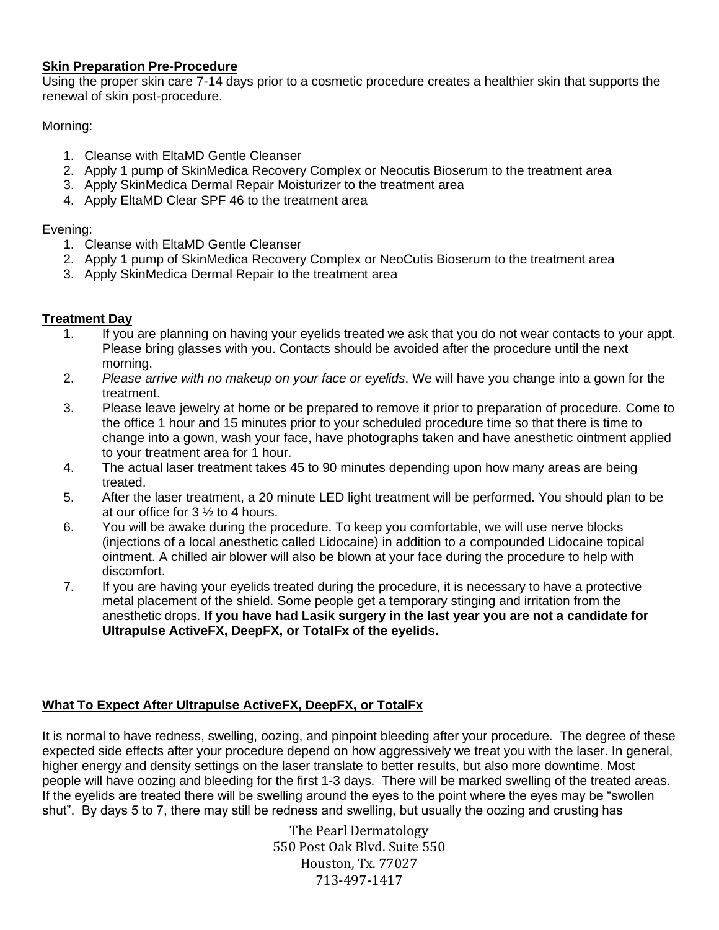### **Skin Preparation Pre-Procedure**

Using the proper skin care 7-14 days prior to a cosmetic procedure creates a healthier skin that supports the renewal of skin post-procedure.

Morning:

- 1. Cleanse with EltaMD Gentle Cleanser
- 2. Apply 1 pump of SkinMedica Recovery Complex or Neocutis Bioserum to the treatment area
- 3. Apply SkinMedica Dermal Repair Moisturizer to the treatment area
- 4. Apply EltaMD Clear SPF 46 to the treatment area

### Evening:

- 1. Cleanse with EltaMD Gentle Cleanser
- 2. Apply 1 pump of SkinMedica Recovery Complex or NeoCutis Bioserum to the treatment area
- 3. Apply SkinMedica Dermal Repair to the treatment area

### **Treatment Day**

- 1. If you are planning on having your eyelids treated we ask that you do not wear contacts to your appt. Please bring glasses with you. Contacts should be avoided after the procedure until the next morning.
- 2. *Please arrive with no makeup on your face or eyelids*. We will have you change into a gown for the treatment.
- 3. Please leave jewelry at home or be prepared to remove it prior to preparation of procedure. Come to the office 1 hour and 15 minutes prior to your scheduled procedure time so that there is time to change into a gown, wash your face, have photographs taken and have anesthetic ointment applied to your treatment area for 1 hour.
- 4. The actual laser treatment takes 45 to 90 minutes depending upon how many areas are being treated.
- 5. After the laser treatment, a 20 minute LED light treatment will be performed. You should plan to be at our office for 3 ½ to 4 hours.
- 6. You will be awake during the procedure. To keep you comfortable, we will use nerve blocks (injections of a local anesthetic called Lidocaine) in addition to a compounded Lidocaine topical ointment. A chilled air blower will also be blown at your face during the procedure to help with discomfort.
- 7. If you are having your eyelids treated during the procedure, it is necessary to have a protective metal placement of the shield. Some people get a temporary stinging and irritation from the anesthetic drops. **If you have had Lasik surgery in the last year you are not a candidate for Ultrapulse ActiveFX, DeepFX, or TotalFx of the eyelids.**

### **What To Expect After Ultrapulse ActiveFX, DeepFX, or TotalFx**

It is normal to have redness, swelling, oozing, and pinpoint bleeding after your procedure. The degree of these expected side effects after your procedure depend on how aggressively we treat you with the laser. In general, higher energy and density settings on the laser translate to better results, but also more downtime. Most people will have oozing and bleeding for the first 1-3 days. There will be marked swelling of the treated areas. If the eyelids are treated there will be swelling around the eyes to the point where the eyes may be "swollen shut". By days 5 to 7, there may still be redness and swelling, but usually the oozing and crusting has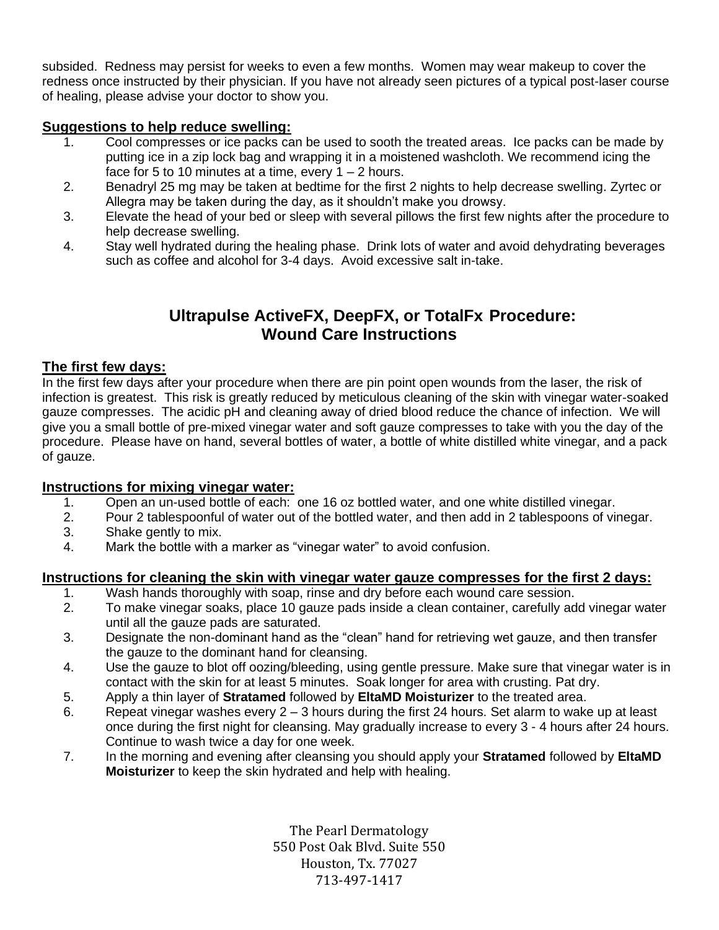subsided. Redness may persist for weeks to even a few months. Women may wear makeup to cover the redness once instructed by their physician. If you have not already seen pictures of a typical post-laser course of healing, please advise your doctor to show you.

### **Suggestions to help reduce swelling:**

- 1. Cool compresses or ice packs can be used to sooth the treated areas. Ice packs can be made by putting ice in a zip lock bag and wrapping it in a moistened washcloth. We recommend icing the face for 5 to 10 minutes at a time, every  $1 - 2$  hours.
- 2. Benadryl 25 mg may be taken at bedtime for the first 2 nights to help decrease swelling. Zyrtec or Allegra may be taken during the day, as it shouldn't make you drowsy.
- 3. Elevate the head of your bed or sleep with several pillows the first few nights after the procedure to help decrease swelling.
- 4. Stay well hydrated during the healing phase. Drink lots of water and avoid dehydrating beverages such as coffee and alcohol for 3-4 days. Avoid excessive salt in-take.

### **Ultrapulse ActiveFX, DeepFX, or TotalFx Procedure: Wound Care Instructions**

### **The first few days:**

In the first few days after your procedure when there are pin point open wounds from the laser, the risk of infection is greatest. This risk is greatly reduced by meticulous cleaning of the skin with vinegar water-soaked gauze compresses. The acidic pH and cleaning away of dried blood reduce the chance of infection. We will give you a small bottle of pre-mixed vinegar water and soft gauze compresses to take with you the day of the procedure. Please have on hand, several bottles of water, a bottle of white distilled white vinegar, and a pack of gauze.

### **Instructions for mixing vinegar water:**

- 1. Open an un-used bottle of each: one 16 oz bottled water, and one white distilled vinegar.
- 2. Pour 2 tablespoonful of water out of the bottled water, and then add in 2 tablespoons of vinegar.
- 3. Shake gently to mix.
- 4. Mark the bottle with a marker as "vinegar water" to avoid confusion.

### **Instructions for cleaning the skin with vinegar water gauze compresses for the first 2 days:**

- 1. Wash hands thoroughly with soap, rinse and dry before each wound care session.<br>2. To make vinegar soaks, place 10 gauze pads inside a clean container, carefully ad
- 2. To make vinegar soaks, place 10 gauze pads inside a clean container, carefully add vinegar water until all the gauze pads are saturated.
- 3. Designate the non-dominant hand as the "clean" hand for retrieving wet gauze, and then transfer the gauze to the dominant hand for cleansing.
- 4. Use the gauze to blot off oozing/bleeding, using gentle pressure. Make sure that vinegar water is in contact with the skin for at least 5 minutes. Soak longer for area with crusting. Pat dry.
- 5. Apply a thin layer of **Stratamed** followed by **EltaMD Moisturizer** to the treated area.
- 6. Repeat vinegar washes every  $2 3$  hours during the first 24 hours. Set alarm to wake up at least once during the first night for cleansing. May gradually increase to every 3 - 4 hours after 24 hours. Continue to wash twice a day for one week.
- 7. In the morning and evening after cleansing you should apply your **Stratamed** followed by **EltaMD Moisturizer** to keep the skin hydrated and help with healing.